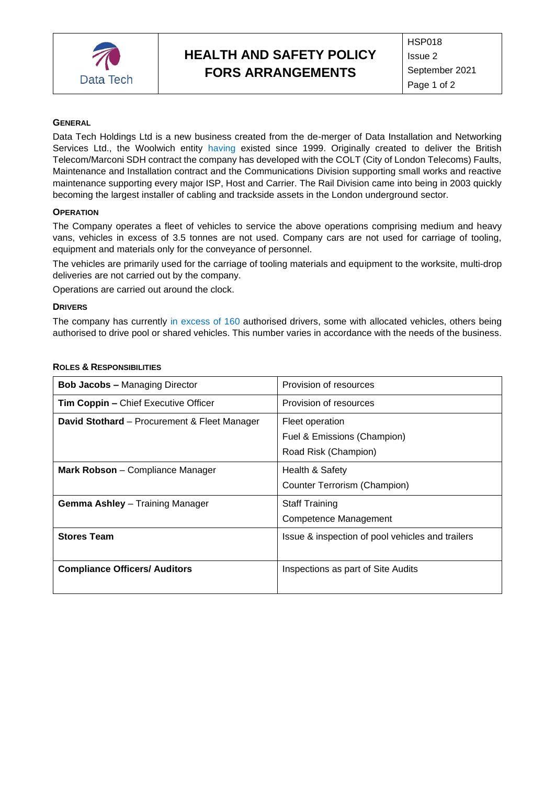

# **HEALTH AND SAFETY POLICY FORS ARRANGEMENTS**

## **GENERAL**

Data Tech Holdings Ltd is a new business created from the de-merger of Data Installation and Networking Services Ltd., the Woolwich entity having existed since 1999. Originally created to deliver the British Telecom/Marconi SDH contract the company has developed with the COLT (City of London Telecoms) Faults, Maintenance and Installation contract and the Communications Division supporting small works and reactive maintenance supporting every major ISP, Host and Carrier. The Rail Division came into being in 2003 quickly becoming the largest installer of cabling and trackside assets in the London underground sector.

### **OPERATION**

The Company operates a fleet of vehicles to service the above operations comprising medium and heavy vans, vehicles in excess of 3.5 tonnes are not used. Company cars are not used for carriage of tooling, equipment and materials only for the conveyance of personnel.

The vehicles are primarily used for the carriage of tooling materials and equipment to the worksite, multi-drop deliveries are not carried out by the company.

Operations are carried out around the clock.

#### **DRIVERS**

The company has currently in excess of 160 authorised drivers, some with allocated vehicles, others being authorised to drive pool or shared vehicles. This number varies in accordance with the needs of the business.

| <b>Bob Jacobs - Managing Director</b>        | Provision of resources                           |
|----------------------------------------------|--------------------------------------------------|
| <b>Tim Coppin –</b> Chief Executive Officer  | Provision of resources                           |
| David Stothard – Procurement & Fleet Manager | Fleet operation                                  |
|                                              | Fuel & Emissions (Champion)                      |
|                                              | Road Risk (Champion)                             |
| <b>Mark Robson</b> – Compliance Manager      | Health & Safety                                  |
|                                              | Counter Terrorism (Champion)                     |
| <b>Gemma Ashley</b> – Training Manager       | <b>Staff Training</b>                            |
|                                              | Competence Management                            |
| <b>Stores Team</b>                           | Issue & inspection of pool vehicles and trailers |
| <b>Compliance Officers/ Auditors</b>         | Inspections as part of Site Audits               |

### **ROLES & RESPONSIBILITIES**